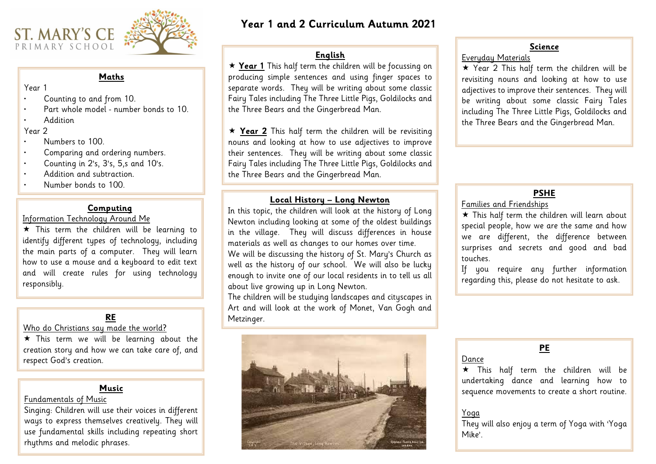# **Year 1 and 2 Curriculum Autumn 2021**





#### **Maths**

#### Year 1

- Counting to and from 10.
- Part whole model number bonds to 10.
- Addition

### Year 2

- Numbers to 100.
- Comparing and ordering numbers.
- Counting in 2's, 3's, 5,s and 10's.
- Addition and subtraction.
- Number bonds to 100.

# **English**

 **Year 1** This half term the children will be focussing on producing simple sentences and using finger spaces to separate words. They will be writing about some classic Fairy Tales including The Three Little Pigs, Goldilocks and the Three Bears and the Gingerbread Man.

> $\star$  This half term the children will learn about special people, how we are the same and how we are different, the difference between surprises and secrets and good and bad

 **Year 2** This half term the children will be revisiting nouns and looking at how to use adjectives to improve their sentences. They will be writing about some classic Fairy Tales including The Three Little Pigs, Goldilocks and the Three Bears and the Gingerbread Man.

\* This term we will be learning about the creation story and how we can take care of, and respect God's creation.

#### **Science**

 $\star$  This term the children will be learning to identify different types of technology, including the main parts of a computer. They will learn how to use a mouse and a keyboard to edit text and will create rules for using technology responsibly.

Everyday Materials ★ Year 2 This half term the children will be revisiting nouns and looking at how to use adjectives to improve their sentences. They will be writing about some classic Fairy Tales including The Three Little Pigs, Goldilocks and the Three Bears and the Gingerbread Man.

# **PSHE**

Families and Friendships

 $\star$  This half term the children will be undertaking dance and learning how to sequence movements to create a short routine.

touches.

If you require any further information regarding this, please do not hesitate to ask.

# **RE**

# Who do Christians say made the world?

# **Computing**

# Information Technology Around Me

# **Local History – Long Newton**

In this topic, the children will look at the history of Long Newton including looking at some of the oldest buildings in the village. They will discuss differences in house materials as well as changes to our homes over time.

We will be discussing the history of St. Mary's Church as well as the history of our school. We will also be lucky enough to invite one of our local residents in to tell us all about live growing up in Long Newton.

The children will be studying landscapes and cityscapes in Art and will look at the work of Monet, Van Gogh and Metzinger.



# **PE**

Dance

They will also enjoy a term of Yoga with 'Yoga

Yoga Mike'.

## **Music**

## Fundamentals of Music

Singing: Children will use their voices in different ways to express themselves creatively. They will use fundamental skills including repeating short rhythms and melodic phrases.